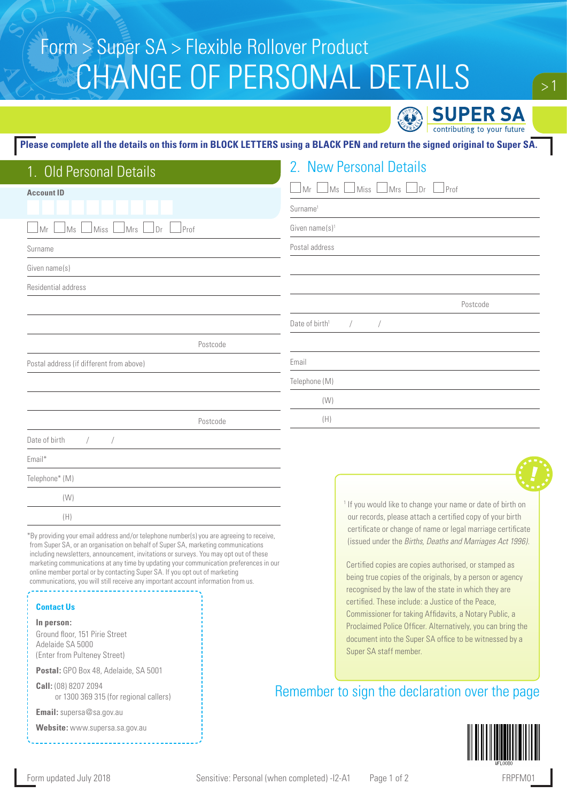# CHANGE OF PERSONAL DETAILS Form > Super SA > Flexible Rollover Product

**SUPER SA** contributing to your future

### **Please complete all the details on this form in BLOCK LETTERS using a BLACK PEN and return the signed original to Super SA.**

|  | 2. New Personal Details |  |
|--|-------------------------|--|
|  |                         |  |

| <b>Account ID</b>                                | Prof<br>$\Box$ Mrs<br>Dr<br>Ms<br>Mr<br>Miss                           |  |  |
|--------------------------------------------------|------------------------------------------------------------------------|--|--|
|                                                  | Surname <sup>1</sup>                                                   |  |  |
| $]$ Prof<br>Mr<br>Ms<br>Miss<br>$\Box$ Mrs<br>Dr | Given name(s) <sup>1</sup>                                             |  |  |
| Surname                                          | Postal address                                                         |  |  |
| Given name(s)                                    |                                                                        |  |  |
| Residential address                              |                                                                        |  |  |
|                                                  | Postcode                                                               |  |  |
|                                                  | Date of birth <sup>1</sup><br>$\sqrt{2}$<br>$\overline{ }$             |  |  |
| Postcode                                         |                                                                        |  |  |
| Postal address (if different from above)         | Email                                                                  |  |  |
|                                                  | Telephone (M)                                                          |  |  |
|                                                  | (W)                                                                    |  |  |
| Postcode                                         | (H)                                                                    |  |  |
| Date of birth<br>$\sqrt{2}$<br>$\sqrt{2}$        |                                                                        |  |  |
| Email*                                           |                                                                        |  |  |
| Telephone* (M)                                   | F,                                                                     |  |  |
| (W)                                              | <sup>1</sup> If you would like to change your name or date of birth on |  |  |
| (H)                                              | our records, please attach a certified copy of your birth              |  |  |

\*By providing your email address and/or telephone number(s) you are agreeing to receive, from Super SA, or an organisation on behalf of Super SA, marketing communications including newsletters, announcement, invitations or surveys. You may opt out of these marketing communications at any time by updating your communication preferences in our online member portal or by contacting Super SA. If you opt out of marketing communications, you will still receive any important account information from us.

#### **Contact Us**

**In person:**

Ground floor, 151 Pirie Street Adelaide SA 5000 (Enter from Pulteney Street)

**Postal:** GPO Box 48, Adelaide, SA 5001

1. Old Personal Details 2. New Personal Details

**Call:** (08) 8207 2094 or 1300 369 315 (for regional callers)

**Email:** supersa@sa.gov.au

**Website:** www.supersa.sa.gov.au

certificate or change of name or legal marriage certificate (issued under the *Births, Deaths and Marriages Act 1996)*.

Certified copies are copies authorised, or stamped as being true copies of the originals, by a person or agency recognised by the law of the state in which they are certified. These include: a Justice of the Peace, Commissioner for taking Affidavits, a Notary Public, a Proclaimed Police Officer. Alternatively, you can bring the document into the Super SA office to be witnessed by a Super SA staff member.

## Remember to sign the declaration over the page